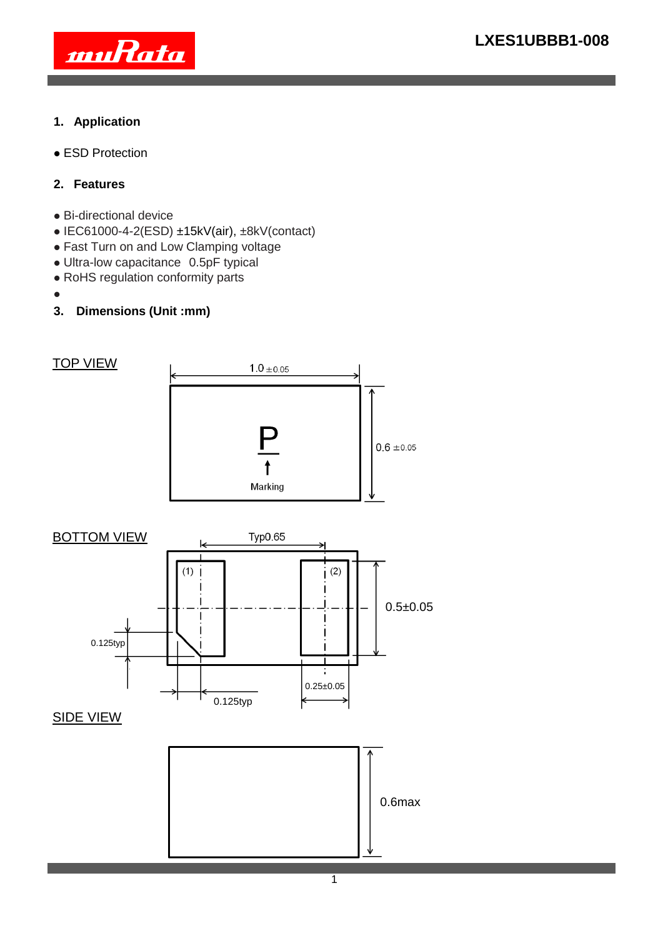

## **1. Application**

ESD Protection

# **2. Features**

- Bi-directional device
- IEC61000-4-2(ESD) ±15kV(air), ±8kV(contact)
- Fast Turn on and Low Clamping voltage
- Ultra-low capacitance 0.5pF typical
- RoHS regulation conformity parts
- $\bullet$
- **3. Dimensions (Unit :mm)**

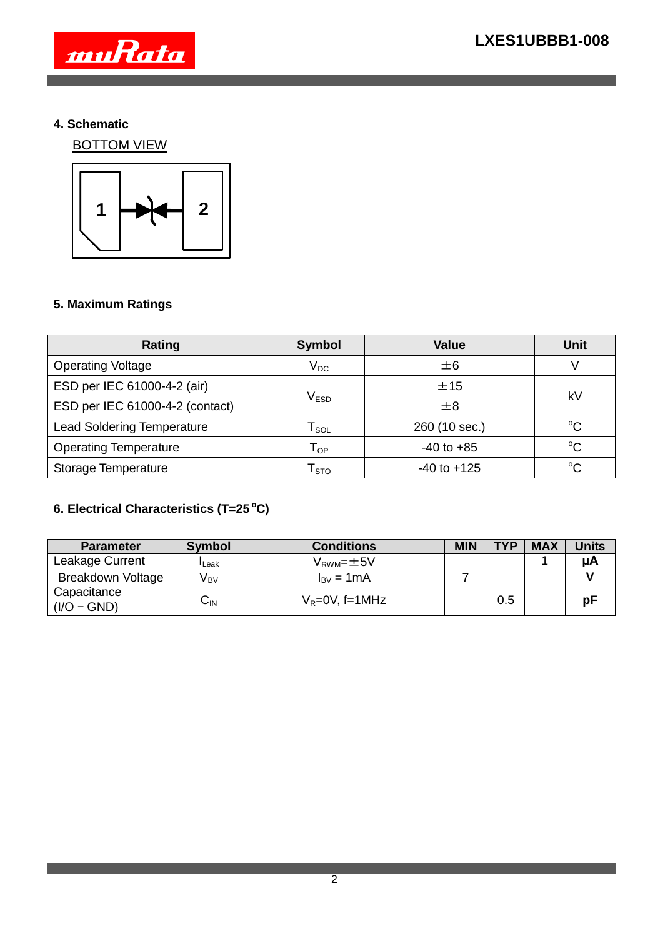

### **4. Schematic**

BOTTOM VIEW



# **5. Maximum Ratings**

| Rating                            | <b>Value</b><br><b>Symbol</b>  |                 | <b>Unit</b>  |  |
|-----------------------------------|--------------------------------|-----------------|--------------|--|
| <b>Operating Voltage</b>          | $\mathsf{V}_\mathsf{DC}$       | ±6              |              |  |
| ESD per IEC 61000-4-2 (air)       |                                | ±15             | kV           |  |
| ESD per IEC 61000-4-2 (contact)   | $\mathsf{V}_{\mathsf{ESD}}$    | ±8              |              |  |
| <b>Lead Soldering Temperature</b> | $\mathsf{r}_\mathsf{sol}$      | 260 (10 sec.)   | $^{\circ}$ C |  |
| <b>Operating Temperature</b>      | $\mathsf{T}_{\mathsf{OP}}$     | $-40$ to $+85$  | $^{\circ}C$  |  |
| Storage Temperature               | $\mathsf{\Gamma}_{\text{STO}}$ | $-40$ to $+125$ | $^{\circ}$ C |  |

# **6. Electrical Characteristics (T=25 <sup>o</sup>C)**

| <b>Parameter</b>             | <b>Symbol</b>   | <b>Conditions</b>          | <b>MIN</b> | <b>TYP</b> | <b>MAX</b> | <b>Units</b> |
|------------------------------|-----------------|----------------------------|------------|------------|------------|--------------|
| Leakage Current              | Leak            | $V_{\text{RWM}} = \pm 5V$  |            |            |            | иA           |
| <b>Breakdown Voltage</b>     | V <sub>вv</sub> | $I_{\rm BV} = 1 \text{mA}$ |            |            |            |              |
| Capacitance<br>$(I/O - GND)$ | $C_{\sf IN}$    | $V_R = 0V$ , f=1MHz        |            | 0.5        |            | рF           |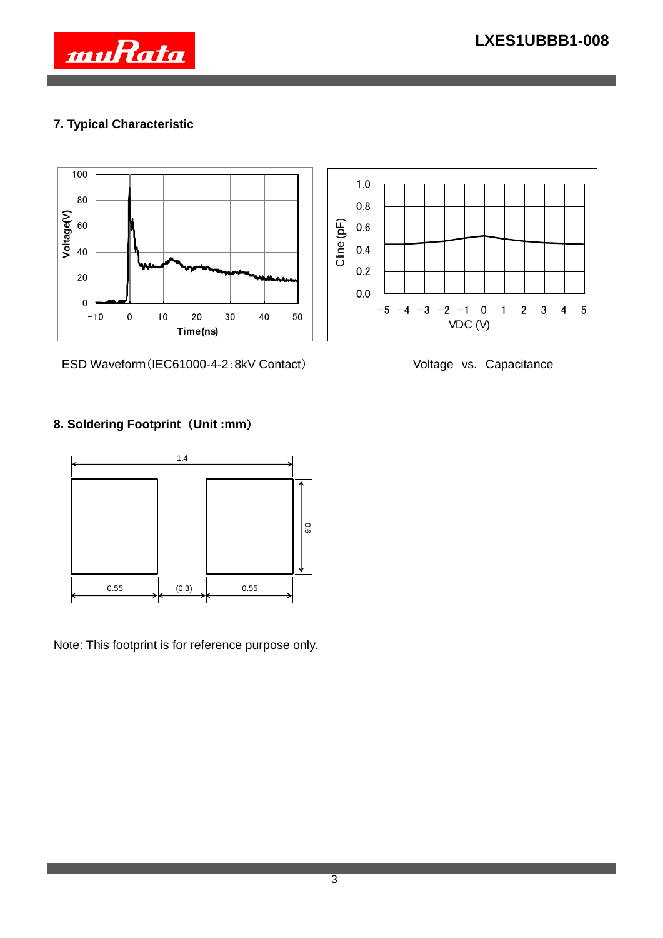

# **7. Typical Characteristic**





ESD Waveform (IEC61000-4-2:8kV Contact) Voltage vs. Capacitance

# **8. Soldering Footprint** (**Unit :mm**)



Note: This footprint is for reference purpose only.